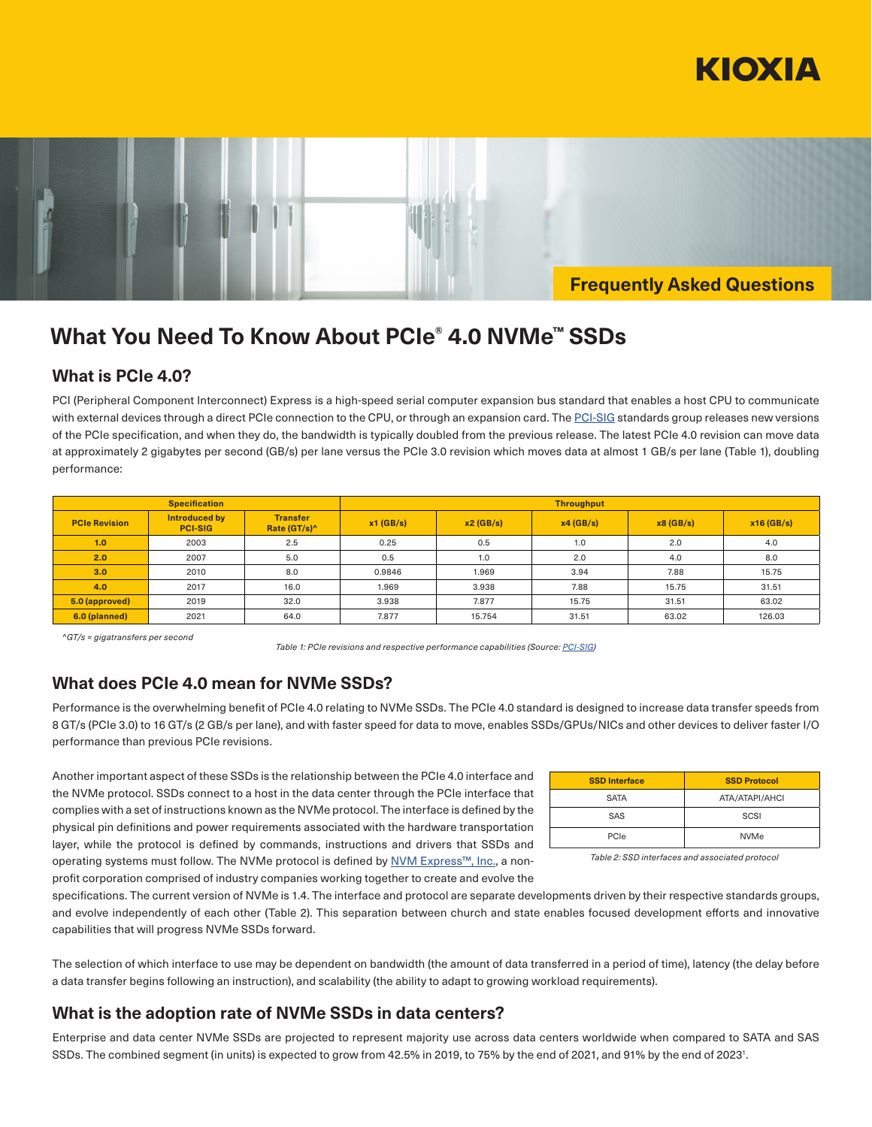



**Frequently Asked Questions**

# **What You Need To Know About PCIe® 4.0 NVMe™ SSDs**

#### **What is PCIe 4.0?**

PCI (Peripheral Component Interconnect) Express is a high-speed serial computer expansion bus standard that enables a host CPU to communicate with external devices through a direct PCIe connection to the CPU, or through an expansion card. The [PCI-SIG](https://pcisig.com/) standards group releases new versions of the PCIe specification, and when they do, the bandwidth is typically doubled from the previous release. The latest PCIe 4.0 revision can move data at approximately 2 gigabytes per second (GB/s) per lane versus the PCIe 3.0 revision which moves data at almost 1 GB/s per lane (Table 1), doubling performance:

|                      | <b>Specification</b>            |                                             | <b>Throughput</b> |          |          |          |              |  |  |  |
|----------------------|---------------------------------|---------------------------------------------|-------------------|----------|----------|----------|--------------|--|--|--|
| <b>PCIe Revision</b> | Introduced by<br><b>PCI-SIG</b> | <b>Transfer</b><br>Rate (GT/s) <sup>^</sup> | $x1$ (GB/s)       | x2(GB/s) | x4(GB/s) | x8(GB/s) | $x16$ (GB/s) |  |  |  |
| 1.0                  | 2003                            | 2.5                                         | 0.25              | 0.5      | 1.0      | 2.0      | 4.0          |  |  |  |
| 2.0                  | 2007                            | 5.0                                         | 0.5               | 1.0      | 2.0      | 4.0      | 8.0          |  |  |  |
| 3.0                  | 2010                            | 8.0                                         | 0.9846            | 1.969    | 3.94     | 7.88     | 15.75        |  |  |  |
| 4.0                  | 2017                            | 16.0                                        | 1.969             | 3.938    | 7.88     | 15.75    | 31.51        |  |  |  |
| 5.0 (approved)       | 2019                            | 32.0                                        | 3.938             | 7.877    | 15.75    | 31.51    | 63.02        |  |  |  |
| 6.0 (planned)        | 2021                            | 64.0                                        | 7.877             | 15.754   | 31.51    | 63.02    | 126.03       |  |  |  |

*^GT/s = gigatransfers per second* 

*Table 1: PCIe revisions and respective performance capabilities (Source: [PCI-SIG\)](https://pcisig.com/)*

### **What does PCIe 4.0 mean for NVMe SSDs?**

Performance is the overwhelming benefit of PCIe 4.0 relating to NVMe SSDs. The PCIe 4.0 standard is designed to increase data transfer speeds from 8 GT/s (PCIe 3.0) to 16 GT/s (2 GB/s per lane), and with faster speed for data to move, enables SSDs/GPUs/NICs and other devices to deliver faster I/O performance than previous PCIe revisions.

Another important aspect of these SSDs is the relationship between the PCIe 4.0 interface and the NVMe protocol. SSDs connect to a host in the data center through the PCIe interface that complies with a set of instructions known as the NVMe protocol. The interface is defined by the physical pin definitions and power requirements associated with the hardware transportation layer, while the protocol is defined by commands, instructions and drivers that SSDs and operating systems must follow. The NVMe protocol is defined by [NVM Express™, Inc.](https://nvmexpress.org/), a nonprofit corporation comprised of industry companies working together to create and evolve the

| <b>SSD Interface</b> | <b>SSD Protocol</b> |
|----------------------|---------------------|
| <b>SATA</b>          | ATA/ATAPI/AHCI      |
| SAS                  | SCSI                |
| PCIe                 | <b>NVMe</b>         |

*Table 2: SSD interfaces and associated protocol*

specifications. The current version of NVMe is 1.4. The interface and protocol are separate developments driven by their respective standards groups, and evolve independently of each other (Table 2). This separation between church and state enables focused development efforts and innovative capabilities that will progress NVMe SSDs forward.

The selection of which interface to use may be dependent on bandwidth (the amount of data transferred in a period of time), latency (the delay before a data transfer begins following an instruction), and scalability (the ability to adapt to growing workload requirements).

### **What is the adoption rate of NVMe SSDs in data centers?**

Enterprise and data center NVMe SSDs are projected to represent majority use across data centers worldwide when compared to SATA and SAS SSDs. The combined segment (in units) is expected to grow from 42.5% in 2019, to 75% by the end of 2021, and 91% by the end of 20231 .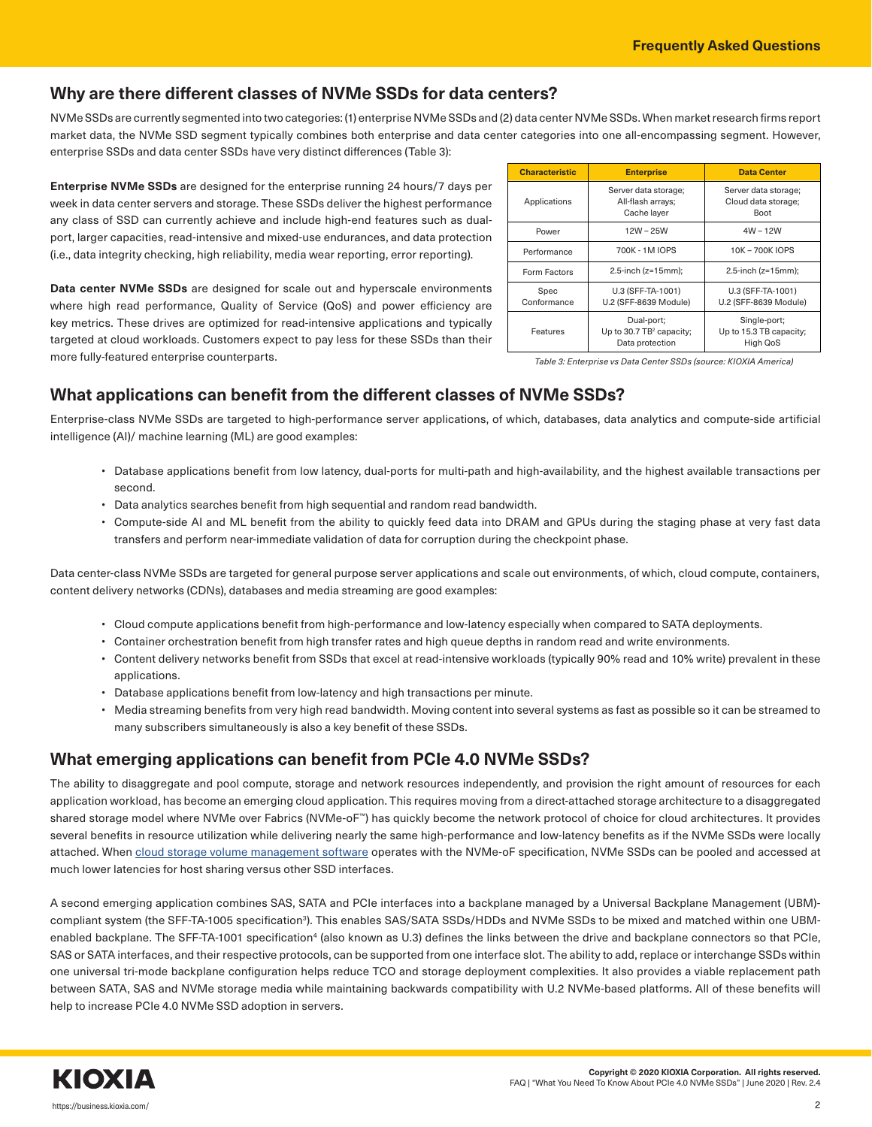### **Why are there different classes of NVMe SSDs for data centers?**

NVMe SSDs are currently segmented into two categories: (1) enterprise NVMe SSDs and (2) data center NVMe SSDs. When market research firms report market data, the NVMe SSD segment typically combines both enterprise and data center categories into one all-encompassing segment. However, enterprise SSDs and data center SSDs have very distinct differences (Table 3):

**Enterprise NVMe SSDs** are designed for the enterprise running 24 hours/7 days per week in data center servers and storage. These SSDs deliver the highest performance any class of SSD can currently achieve and include high-end features such as dualport, larger capacities, read-intensive and mixed-use endurances, and data protection (i.e., data integrity checking, high reliability, media wear reporting, error reporting).

**Data center NVMe SSDs** are designed for scale out and hyperscale environments where high read performance, Quality of Service (QoS) and power efficiency are key metrics. These drives are optimized for read-intensive applications and typically targeted at cloud workloads. Customers expect to pay less for these SSDs than their more fully-featured enterprise counterparts.

| <b>Characteristic</b> | <b>Enterprise</b>                                                     | <b>Data Center</b>                                         |  |  |  |
|-----------------------|-----------------------------------------------------------------------|------------------------------------------------------------|--|--|--|
| Applications          | Server data storage;<br>All-flash arrays;<br>Cache layer              | Server data storage;<br>Cloud data storage;<br><b>Boot</b> |  |  |  |
| Power                 | $12W - 25W$                                                           | $4W - 12W$                                                 |  |  |  |
| Performance           | 700K - 1M IOPS                                                        | 10K - 700K IOPS                                            |  |  |  |
| Form Factors          | 2.5-inch ( $z=15$ mm);                                                | 2.5-inch $(z=15mm)$ ;                                      |  |  |  |
| Spec<br>Conformance   | U.3 (SFF-TA-1001)<br>U.2 (SFF-8639 Module)                            | U.3 (SFF-TA-1001)<br>U.2 (SFF-8639 Module)                 |  |  |  |
| Features              | Dual-port;<br>Up to 30.7 TB <sup>2</sup> capacity;<br>Data protection | Single-port;<br>Up to 15.3 TB capacity;<br>High QoS        |  |  |  |

*Table 3: Enterprise vs Data Center SSDs (source: KIOXIA America)*

### **What applications can benefit from the different classes of NVMe SSDs?**

Enterprise-class NVMe SSDs are targeted to high-performance server applications, of which, databases, data analytics and compute-side artificial intelligence (AI)/ machine learning (ML) are good examples:

- Database applications benefit from low latency, dual-ports for multi-path and high-availability, and the highest available transactions per second.
- Data analytics searches benefit from high sequential and random read bandwidth.
- Compute-side AI and ML benefit from the ability to quickly feed data into DRAM and GPUs during the staging phase at very fast data transfers and perform near-immediate validation of data for corruption during the checkpoint phase.

Data center-class NVMe SSDs are targeted for general purpose server applications and scale out environments, of which, cloud compute, containers, content delivery networks (CDNs), databases and media streaming are good examples:

- Cloud compute applications benefit from high-performance and low-latency especially when compared to SATA deployments.
- Container orchestration benefit from high transfer rates and high queue depths in random read and write environments.
- Content delivery networks benefit from SSDs that excel at read-intensive workloads (typically 90% read and 10% write) prevalent in these applications.
- Database applications benefit from low-latency and high transactions per minute.
- Media streaming benefits from very high read bandwidth. Moving content into several systems as fast as possible so it can be streamed to many subscribers simultaneously is also a key benefit of these SSDs.

### **What emerging applications can benefit from PCIe 4.0 NVMe SSDs?**

The ability to disaggregate and pool compute, storage and network resources independently, and provision the right amount of resources for each application workload, has become an emerging cloud application. This requires moving from a direct-attached storage architecture to a disaggregated shared storage model where NVMe over Fabrics (NVMe-oF™) has quickly become the network protocol of choice for cloud architectures. It provides several benefits in resource utilization while delivering nearly the same high-performance and low-latency benefits as if the NVMe SSDs were locally attached. When [cloud storage volume management software](https://kumoscale.kioxia.com/) operates with the NVMe-oF specification, NVMe SSDs can be pooled and accessed at much lower latencies for host sharing versus other SSD interfaces.

A second emerging application combines SAS, SATA and PCIe interfaces into a backplane managed by a Universal Backplane Management (UBM) compliant system (the SFF-TA-1005 specification<sup>3</sup>). This enables SAS/SATA SSDs/HDDs and NVMe SSDs to be mixed and matched within one UBMenabled backplane. The SFF-TA-1001 specification<sup>4</sup> (also known as U.3) defines the links between the drive and backplane connectors so that PCIe, SAS or SATA interfaces, and their respective protocols, can be supported from one interface slot. The ability to add, replace or interchange SSDs within one universal tri-mode backplane configuration helps reduce TCO and storage deployment complexities. It also provides a viable replacement path between SATA, SAS and NVMe storage media while maintaining backwards compatibility with U.2 NVMe-based platforms. All of these benefits will help to increase PCIe 4.0 NVMe SSD adoption in servers.

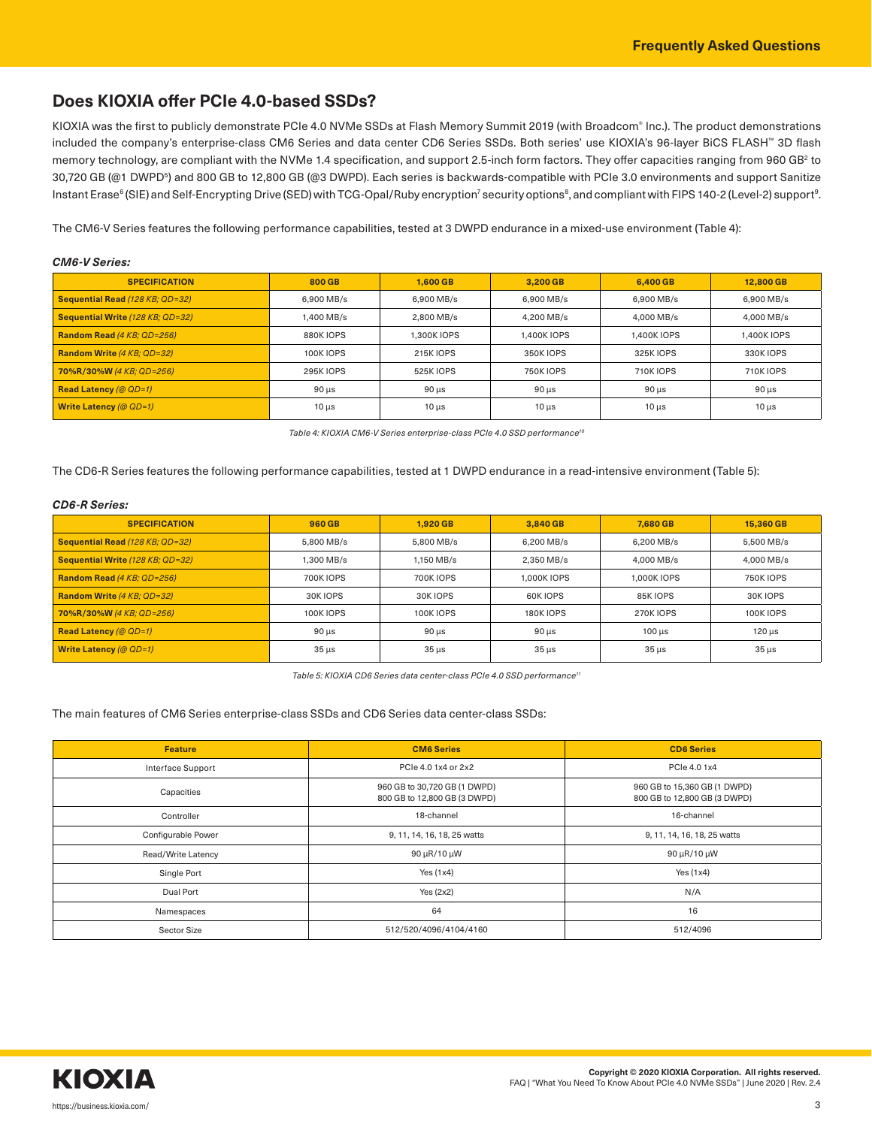## **Does KIOXIA offer PCIe 4.0-based SSDs?**

KIOXIA was the first to publicly demonstrate PCIe 4.0 NVMe SSDs at Flash Memory Summit 2019 (with Broadcom® Inc.). The product demonstrations included the company's enterprise-class CM6 Series and data center CD6 Series SSDs. Both series' use KIOXIA's 96-layer BiCS FLASH™ 3D flash memory technology, are compliant with the NVMe 1.4 specification, and support 2.5-inch form factors. They offer capacities ranging from 960 GB<sup>2</sup> to 30,720 GB (@1 DWPD5 ) and 800 GB to 12,800 GB (@3 DWPD). Each series is backwards-compatible with PCIe 3.0 environments and support Sanitize Instant Erase<sup>6</sup> (SIE) and Self-Encrypting Drive (SED) with TCG-Opal/Ruby encryption<sup>7</sup> security options<sup>8</sup>, and compliant with FIPS 140-2 (Level-2) support<sup>9</sup>.

The CM6-V Series features the following performance capabilities, tested at 3 DWPD endurance in a mixed-use environment (Table 4):

| <b>CM6-V Series:</b>             |                  |                  |                  |                  |                  |  |  |  |  |
|----------------------------------|------------------|------------------|------------------|------------------|------------------|--|--|--|--|
| <b>SPECIFICATION</b>             | 800 GB           | 1.600 GB         | 3,200 GB         | 6,400 GB         | 12,800 GB        |  |  |  |  |
| Sequential Read (128 KB; QD=32)  | 6.900 MB/s       | 6.900 MB/s       | 6.900 MB/s       | 6.900 MB/s       | 6.900 MB/s       |  |  |  |  |
| Sequential Write (128 KB; QD=32) | 1.400 MB/s       | 2.800 MB/s       | 4.200 MB/s       | 4.000 MB/s       | 4.000 MB/s       |  |  |  |  |
| Random Read (4 KB; QD=256)       | 880K IOPS        | 1.300K IOPS      | 1.400K IOPS      | 1.400K IOPS      | 1.400K IOPS      |  |  |  |  |
| Random Write (4 KB; QD=32)       | 100K IOPS        | <b>215K IOPS</b> | <b>350K IOPS</b> | 325K IOPS        | 330K IOPS        |  |  |  |  |
| 70%R/30%W (4 KB; QD=256)         | <b>295K IOPS</b> | 525K IOPS        | <b>750K IOPS</b> | <b>710K IOPS</b> | <b>710K IOPS</b> |  |  |  |  |
| <b>Read Latency (@ QD=1)</b>     | $90 \mu s$       | $90 \mu s$       | $90 \mu s$       | $90 \mu s$       | $90 \mu s$       |  |  |  |  |
| Write Latency (@ $QD=1$ )        | $10 \mu s$       | $10 \mu s$       | $10 \mu s$       | $10 \mu s$       | $10 \mu s$       |  |  |  |  |

*Table 4: KIOXIA CM6-V Series enterprise-class PCIe 4.0 SSD performance10*

The CD6-R Series features the following performance capabilities, tested at 1 DWPD endurance in a read-intensive environment (Table 5):

#### *CD6-R Series:*

| <b>SPECIFICATION</b>             | 960 GB           | 1.920 GB   | 3.840 GB                   | 7.680 GB        | 15,360 GB        |  |
|----------------------------------|------------------|------------|----------------------------|-----------------|------------------|--|
| Sequential Read (128 KB; QD=32)  | 5.800 MB/s       | 5.800 MB/s | 6.200 MB/s                 | 6.200 MB/s      | 5.500 MB/s       |  |
| Sequential Write (128 KB; QD=32) | .300 MB/s        | 1.150 MB/s | 2.350 MB/s                 | 4.000 MB/s      | 4.000 MB/s       |  |
| Random Read (4 KB; QD=256)       | <b>700K IOPS</b> | 700K IOPS  | 1.000K IOPS<br>1.000K IOPS |                 | <b>750K IOPS</b> |  |
| Random Write (4 KB; QD=32)       | 30K IOPS         | 30K IOPS   | 60K IOPS                   | 85K IOPS        | 30K IOPS         |  |
| 70%R/30%W (4 KB; QD=256)         | <b>100K IOPS</b> | 100K IOPS  | <b>180K IOPS</b>           | <b>270KIOPS</b> | <b>100K IOPS</b> |  |
| <b>Read Latency (@ QD=1)</b>     | $90 \mu s$       | $90 \mu s$ | $90 \mu s$                 | $100 \mu s$     | $120 \mu s$      |  |
| Write Latency (@ $QD=1$ )        | $35 \mu s$       | $35 \mu s$ | $35 \mu s$                 | $35 \mu s$      | $35 \mu s$       |  |

*Table 5: KIOXIA CD6 Series data center-class PCIe 4.0 SSD performance11*

#### The main features of CM6 Series enterprise-class SSDs and CD6 Series data center-class SSDs:

| <b>Feature</b>     | <b>CM6 Series</b>                                            | <b>CD6 Series</b>                                            |
|--------------------|--------------------------------------------------------------|--------------------------------------------------------------|
| Interface Support  | PCIe 4.0 1x4 or 2x2                                          | PCIe 4.0 1x4                                                 |
| Capacities         | 960 GB to 30,720 GB (1 DWPD)<br>800 GB to 12,800 GB (3 DWPD) | 960 GB to 15,360 GB (1 DWPD)<br>800 GB to 12,800 GB (3 DWPD) |
| Controller         | 18-channel                                                   | 16-channel                                                   |
| Configurable Power | 9, 11, 14, 16, 18, 25 watts                                  | 9, 11, 14, 16, 18, 25 watts                                  |
| Read/Write Latency | 90 µR/10 µW                                                  | 90 µR/10 µW                                                  |
| Single Port        | Yes $(1x4)$                                                  | Yes $(1x4)$                                                  |
| Dual Port          | Yes (2x2)                                                    | N/A                                                          |
| Namespaces         | 64                                                           | 16                                                           |
| Sector Size        | 512/520/4096/4104/4160                                       | 512/4096                                                     |